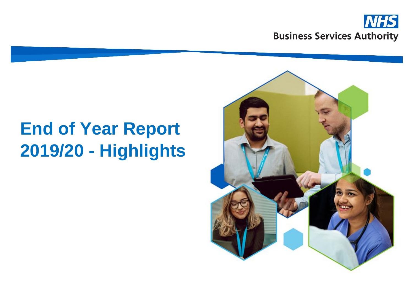

# **End of Year Report 2019/20 - Highlights**

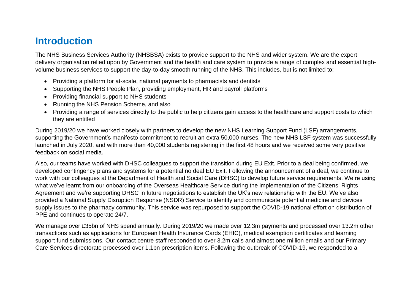#### **Introduction**

The NHS Business Services Authority (NHSBSA) exists to provide support to the NHS and wider system. We are the expert delivery organisation relied upon by Government and the health and care system to provide a range of complex and essential highvolume business services to support the day-to-day smooth running of the NHS. This includes, but is not limited to:

- Providing a platform for at-scale, national payments to pharmacists and dentists
- Supporting the NHS People Plan, providing employment, HR and payroll platforms
- Providing financial support to NHS students
- Running the NHS Pension Scheme, and also
- Providing a range of services directly to the public to help citizens gain access to the healthcare and support costs to which they are entitled

During 2019/20 we have worked closely with partners to develop the new NHS Learning Support Fund (LSF) arrangements, supporting the Government's manifesto commitment to recruit an extra 50,000 nurses. The new NHS LSF system was successfully launched in July 2020, and with more than 40,000 students registering in the first 48 hours and we received some very positive feedback on social media.

Also, our teams have worked with DHSC colleagues to support the transition during EU Exit. Prior to a deal being confirmed, we developed contingency plans and systems for a potential no deal EU Exit. Following the announcement of a deal, we continue to work with our colleagues at the Department of Health and Social Care (DHSC) to develop future service requirements. We're using what we've learnt from our onboarding of the Overseas Healthcare Service during the implementation of the Citizens' Rights Agreement and we're supporting DHSC in future negotiations to establish the UK's new relationship with the EU. We've also provided a National Supply Disruption Response (NSDR) Service to identify and communicate potential medicine and devices supply issues to the pharmacy community. This service was repurposed to support the COVID-19 national effort on distribution of PPE and continues to operate 24/7.

We manage over £35bn of NHS spend annually. During 2019/20 we made over 12.3m payments and processed over 13.2m other transactions such as applications for European Health Insurance Cards (EHIC), medical exemption certificates and learning support fund submissions. Our contact centre staff responded to over 3.2m calls and almost one million emails and our Primary Care Services directorate processed over 1.1bn prescription items. Following the outbreak of COVID-19, we responded to a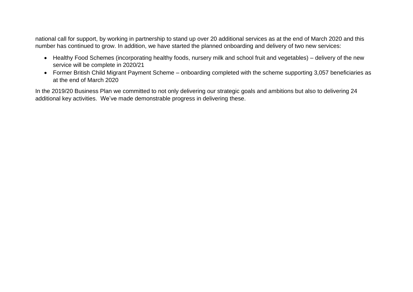national call for support, by working in partnership to stand up over 20 additional services as at the end of March 2020 and this number has continued to grow. In addition, we have started the planned onboarding and delivery of two new services:

- Healthy Food Schemes (incorporating healthy foods, nursery milk and school fruit and vegetables) delivery of the new service will be complete in 2020/21
- Former British Child Migrant Payment Scheme onboarding completed with the scheme supporting 3,057 beneficiaries as at the end of March 2020

In the 2019/20 Business Plan we committed to not only delivering our strategic goals and ambitions but also to delivering 24 additional key activities. We've made demonstrable progress in delivering these.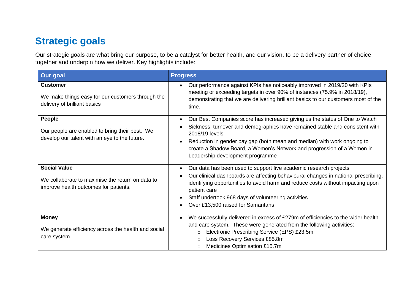# **Strategic goals**

Our strategic goals are what bring our purpose, to be a catalyst for better health, and our vision, to be a delivery partner of choice, together and underpin how we deliver. Key highlights include:

| Our goal                                                                                                         | <b>Progress</b>                                                                                                                                                                                                                                                                                                                                                                                  |
|------------------------------------------------------------------------------------------------------------------|--------------------------------------------------------------------------------------------------------------------------------------------------------------------------------------------------------------------------------------------------------------------------------------------------------------------------------------------------------------------------------------------------|
| <b>Customer</b><br>We make things easy for our customers through the<br>delivery of brilliant basics             | Our performance against KPIs has noticeably improved in 2019/20 with KPIs<br>meeting or exceeding targets in over 90% of instances (75.9% in 2018/19),<br>demonstrating that we are delivering brilliant basics to our customers most of the<br>time.                                                                                                                                            |
| People<br>Our people are enabled to bring their best. We<br>develop our talent with an eye to the future.        | Our Best Companies score has increased giving us the status of One to Watch<br>$\bullet$<br>Sickness, turnover and demographics have remained stable and consistent with<br>2018/19 levels<br>Reduction in gender pay gap (both mean and median) with work ongoing to<br>$\bullet$<br>create a Shadow Board, a Women's Network and progression of a Women in<br>Leadership development programme |
| <b>Social Value</b><br>We collaborate to maximise the return on data to<br>improve health outcomes for patients. | Our data has been used to support five academic research projects<br>$\bullet$<br>Our clinical dashboards are affecting behavioural changes in national prescribing,<br>identifying opportunities to avoid harm and reduce costs without impacting upon<br>patient care<br>Staff undertook 968 days of volunteering activities<br>Over £13,500 raised for Samaritans                             |
| <b>Money</b><br>We generate efficiency across the health and social<br>care system.                              | We successfully delivered in excess of £279m of efficiencies to the wider health<br>$\bullet$<br>and care system. These were generated from the following activities:<br>Electronic Prescribing Service (EPS) £23.5m<br>$\circ$<br>Loss Recovery Services £85.8m<br>$\circ$<br>Medicines Optimisation £15.7m<br>$\circ$                                                                          |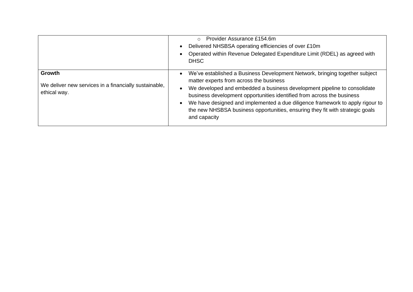|                                                                                 | Provider Assurance £154.6m<br>$\circ$<br>Delivered NHSBSA operating efficiencies of over £10m<br>Operated within Revenue Delegated Expenditure Limit (RDEL) as agreed with<br><b>DHSC</b>                                                                                                                                                                                                                                                                      |
|---------------------------------------------------------------------------------|----------------------------------------------------------------------------------------------------------------------------------------------------------------------------------------------------------------------------------------------------------------------------------------------------------------------------------------------------------------------------------------------------------------------------------------------------------------|
| Growth<br>We deliver new services in a financially sustainable,<br>ethical way. | We've established a Business Development Network, bringing together subject<br>matter experts from across the business<br>We developed and embedded a business development pipeline to consolidate<br>business development opportunities identified from across the business<br>We have designed and implemented a due diligence framework to apply rigour to<br>the new NHSBSA business opportunities, ensuring they fit with strategic goals<br>and capacity |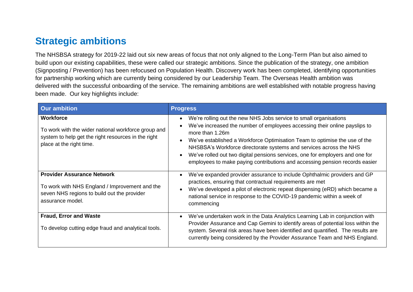### **Strategic ambitions**

The NHSBSA strategy for 2019-22 laid out six new areas of focus that not only aligned to the Long-Term Plan but also aimed to build upon our existing capabilities, these were called our strategic ambitions. Since the publication of the strategy, one ambition (Signposting / Prevention) has been refocused on Population Health. Discovery work has been completed, identifying opportunities for partnership working which are currently being considered by our Leadership Team. The Overseas Health ambition was delivered with the successful onboarding of the service. The remaining ambitions are well established with notable progress having been made. Our key highlights include:

| <b>Our ambition</b>                                                                                                                                    | <b>Progress</b>                                                                                                                                                                                                                                                                                                                                                                                                                                                                        |
|--------------------------------------------------------------------------------------------------------------------------------------------------------|----------------------------------------------------------------------------------------------------------------------------------------------------------------------------------------------------------------------------------------------------------------------------------------------------------------------------------------------------------------------------------------------------------------------------------------------------------------------------------------|
| Workforce<br>To work with the wider national workforce group and<br>system to help get the right resources in the right<br>place at the right time.    | We're rolling out the new NHS Jobs service to small organisations<br>We've increased the number of employees accessing their online payslips to<br>more than 1.26m<br>We've established a Workforce Optimisation Team to optimise the use of the<br>NHSBSA's Workforce directorate systems and services across the NHS<br>We've rolled out two digital pensions services, one for employers and one for<br>employees to make paying contributions and accessing pension records easier |
| <b>Provider Assurance Network</b><br>To work with NHS England / Improvement and the<br>seven NHS regions to build out the provider<br>assurance model. | We've expanded provider assurance to include Ophthalmic providers and GP<br>practices, ensuring that contractual requirements are met<br>We've developed a pilot of electronic repeat dispensing (eRD) which became a<br>national service in response to the COVID-19 pandemic within a week of<br>commencing                                                                                                                                                                          |
| <b>Fraud, Error and Waste</b><br>To develop cutting edge fraud and analytical tools.                                                                   | We've undertaken work in the Data Analytics Learning Lab in conjunction with<br>Provider Assurance and Cap Gemini to identify areas of potential loss within the<br>system. Several risk areas have been identified and quantified. The results are<br>currently being considered by the Provider Assurance Team and NHS England.                                                                                                                                                      |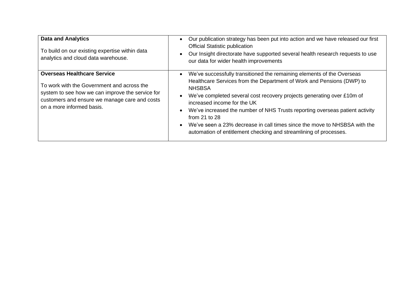| <b>Data and Analytics</b><br>To build on our existing expertise within data<br>analytics and cloud data warehouse.                                                                                                 | Our publication strategy has been put into action and we have released our first<br>$\bullet$<br><b>Official Statistic publication</b><br>Our Insight directorate have supported several health research requests to use<br>our data for wider health improvements                                                                                                                                                                                                                                                                 |
|--------------------------------------------------------------------------------------------------------------------------------------------------------------------------------------------------------------------|------------------------------------------------------------------------------------------------------------------------------------------------------------------------------------------------------------------------------------------------------------------------------------------------------------------------------------------------------------------------------------------------------------------------------------------------------------------------------------------------------------------------------------|
| <b>Overseas Healthcare Service</b><br>To work with the Government and across the<br>system to see how we can improve the service for<br>customers and ensure we manage care and costs<br>on a more informed basis. | We've successfully transitioned the remaining elements of the Overseas<br>Healthcare Services from the Department of Work and Pensions (DWP) to<br><b>NHSBSA</b><br>We've completed several cost recovery projects generating over £10m of<br>increased income for the UK<br>We've increased the number of NHS Trusts reporting overseas patient activity<br>from $21$ to $28$<br>• We've seen a 23% decrease in call times since the move to NHSBSA with the<br>automation of entitlement checking and streamlining of processes. |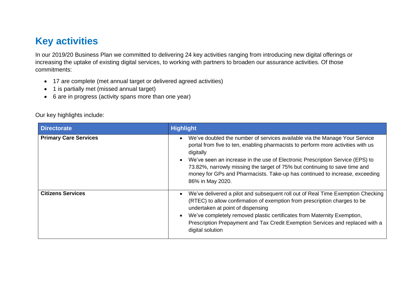## **Key activities**

In our 2019/20 Business Plan we committed to delivering 24 key activities ranging from introducing new digital offerings or increasing the uptake of existing digital services, to working with partners to broaden our assurance activities. Of those commitments:

- 17 are complete (met annual target or delivered agreed activities)
- 1 is partially met (missed annual target)
- 6 are in progress (activity spans more than one year)

#### Our key highlights include:

| <b>Directorate</b>           | <b>Highlight</b>                                                                                                                                                                                                                                                                                                                                                                                                                              |
|------------------------------|-----------------------------------------------------------------------------------------------------------------------------------------------------------------------------------------------------------------------------------------------------------------------------------------------------------------------------------------------------------------------------------------------------------------------------------------------|
| <b>Primary Care Services</b> | We've doubled the number of services available via the Manage Your Service<br>portal from five to ten, enabling pharmacists to perform more activities with us<br>digitally<br>We've seen an increase in the use of Electronic Prescription Service (EPS) to<br>73.82%, narrowly missing the target of 75% but continuing to save time and<br>money for GPs and Pharmacists. Take-up has continued to increase, exceeding<br>86% in May 2020. |
| <b>Citizens Services</b>     | We've delivered a pilot and subsequent roll out of Real Time Exemption Checking<br>(RTEC) to allow confirmation of exemption from prescription charges to be<br>undertaken at point of dispensing<br>We've completely removed plastic certificates from Maternity Exemption,<br>Prescription Prepayment and Tax Credit Exemption Services and replaced with a<br>digital solution                                                             |